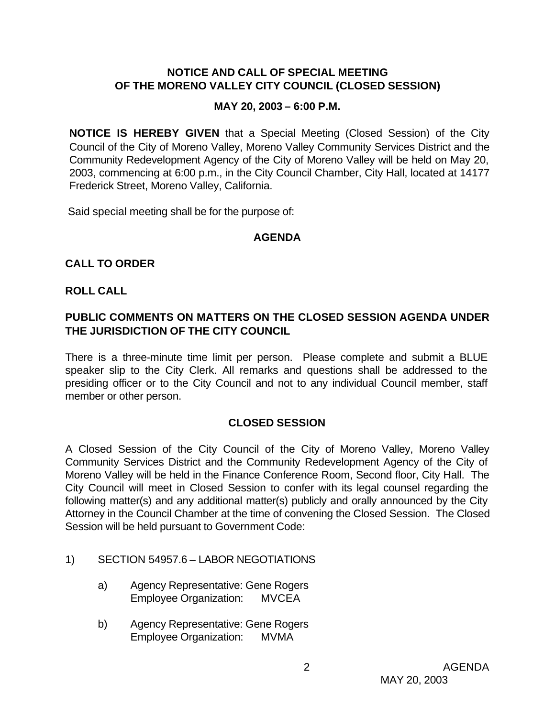### **NOTICE AND CALL OF SPECIAL MEETING OF THE MORENO VALLEY CITY COUNCIL (CLOSED SESSION)**

#### **MAY 20, 2003 – 6:00 P.M.**

**NOTICE IS HEREBY GIVEN** that a Special Meeting (Closed Session) of the City Council of the City of Moreno Valley, Moreno Valley Community Services District and the Community Redevelopment Agency of the City of Moreno Valley will be held on May 20, 2003, commencing at 6:00 p.m., in the City Council Chamber, City Hall, located at 14177 Frederick Street, Moreno Valley, California.

Said special meeting shall be for the purpose of:

#### **AGENDA**

# **CALL TO ORDER**

#### **ROLL CALL**

### **PUBLIC COMMENTS ON MATTERS ON THE CLOSED SESSION AGENDA UNDER THE JURISDICTION OF THE CITY COUNCIL**

There is a three-minute time limit per person. Please complete and submit a BLUE speaker slip to the City Clerk. All remarks and questions shall be addressed to the presiding officer or to the City Council and not to any individual Council member, staff member or other person.

#### **CLOSED SESSION**

A Closed Session of the City Council of the City of Moreno Valley, Moreno Valley Community Services District and the Community Redevelopment Agency of the City of Moreno Valley will be held in the Finance Conference Room, Second floor, City Hall. The City Council will meet in Closed Session to confer with its legal counsel regarding the following matter(s) and any additional matter(s) publicly and orally announced by the City Attorney in the Council Chamber at the time of convening the Closed Session. The Closed Session will be held pursuant to Government Code:

- 1) SECTION 54957.6 LABOR NEGOTIATIONS
	- a) Agency Representative: Gene Rogers Employee Organization: MVCEA
	- b) Agency Representative: Gene Rogers Employee Organization: MVMA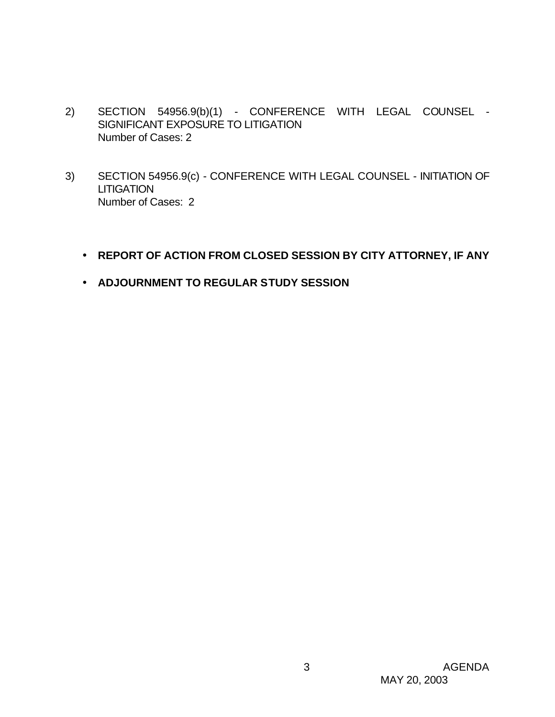- 2) SECTION 54956.9(b)(1) CONFERENCE WITH LEGAL COUNSEL SIGNIFICANT EXPOSURE TO LITIGATION Number of Cases: 2
- 3) SECTION 54956.9(c) CONFERENCE WITH LEGAL COUNSEL INITIATION OF **LITIGATION** Number of Cases: 2
	- **REPORT OF ACTION FROM CLOSED SESSION BY CITY ATTORNEY, IF ANY**
	- **ADJOURNMENT TO REGULAR STUDY SESSION**